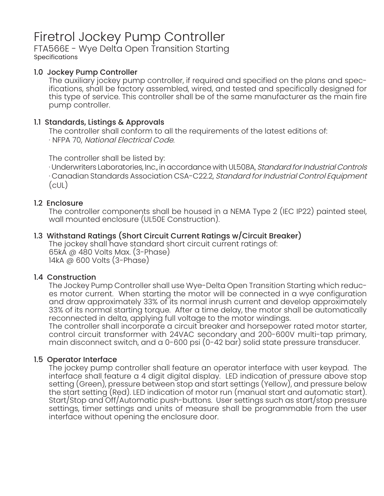# Firetrol Jockey Pump Controller

## FTA566E - Wye Delta Open Transition Starting Specifications

# 1.0 Jockey Pump Controller

The auxiliary jockey pump controller, if required and specified on the plans and specifications, shall be factory assembled, wired, and tested and specifically designed for this type of service. This controller shall be of the same manufacturer as the main fire pump controller.

## 1.1 Standards, Listings & Approvals

The controller shall conform to all the requirements of the latest editions of: · NFPA 70, National Electrical Code.

The controller shall be listed by:

· Underwriters Laboratories, Inc., in accordance with UL508A, Standard for Industrial Controls · Canadian Standards Association CSA-C22.2, Standard for Industrial Control Equipment (cUL)

## 1.2 Enclosure

The controller components shall be housed in a NEMA Type 2 (IEC IP22) painted steel, wall mounted enclosure (UL50E Construction).

# 1.3 Withstand Ratings (Short Circuit Current Ratings w/Circuit Breaker)

The jockey shall have standard short circuit current ratings of: 65kA @ 480 Volts Max. (3-Phase) 14kA @ 600 Volts (3-Phase)

## 1.4 Construction

The Jockey Pump Controller shall use Wye-Delta Open Transition Starting which reduces motor current. When starting the motor will be connected in a wye configuration and draw approximately 33% of its normal inrush current and develop approximately 33% of its normal starting torque. After a time delay, the motor shall be automatically reconnected in delta, applying full voltage to the motor windings.

The controller shall incorporate a circuit breaker and horsepower rated motor starter, control circuit transformer with 24VAC secondary and 200-600V multi-tap primary, main disconnect switch, and a 0-600 psi (0-42 bar) solid state pressure transducer.

## 1.5 Operator Interface

The jockey pump controller shall feature an operator interface with user keypad. The interface shall feature a 4 digit digital display. LED indication of pressure above stop setting (Green), pressure between stop and start settings (Yellow), and pressure below the start setting (Red). LED indication of motor run (manual start and automatic start). Start/Stop and Off/Automatic push-buttons. User settings such as start/stop pressure settings, timer settings and units of measure shall be programmable from the user interface without opening the enclosure door.